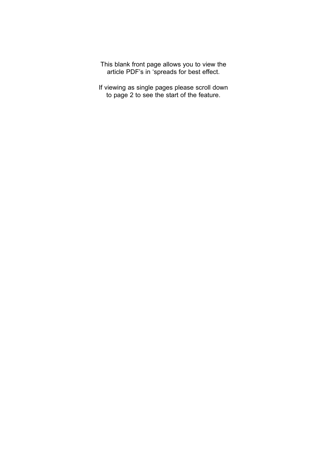This blank front page allows you to view the article PDF's in 'spreads for best effect.

If viewing as single pages please scroll down to page 2 to see the start of the feature.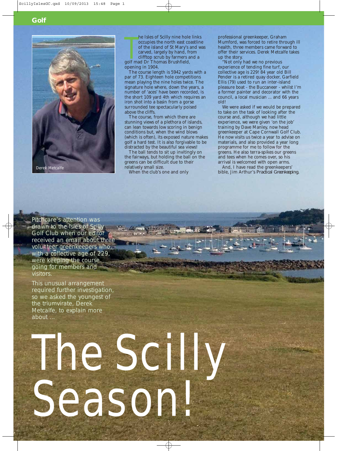



he Isles of Scilly nine hole<br>occupies the north east co<br>of the island of St Mary's<br>carved, largely by hand, fi<br>clifftop scrub by farmers a<br>golf mad Dr Thomas Brushfield, he Isles of Scilly nine hole links occupies the north east coastline of the island of St Mary's and was carved, largely by hand, from clifftop scrub by farmers and a opening in 1904.

The course length is 5942 yards with a par of 73. Eighteen hole competitions mean playing the nine holes twice. The signature hole where, down the years, a number of 'aces' have been recorded, is the short 109 yard 4th which requires an iron shot into a basin from a gorse surrounded tee spectacularly poised above the cliffs.

The course, from which there are stunning views of a plethora of islands, can lean towards low scoring in benign conditions but, when the wind blows (which is often), its exposed nature makes golf a hard test. It is also forgivable to be distracted by the beautiful sea views!

The ball tends to sit up invitingly on the fairways, but holding the ball on the greens can be difficult due to their relatively small size.

When the club's one and only

The Scilly

Season!

professional greenkeeper, Graham Mumford, was forced to retire through ill health, three members came forward to offer their services. Derek Metcalfe takes up the story.

"Not only had we no previous experience of tending fine turf, our collective age is 229! 84 year old Bill Pender is a retired quay docker, Garfield Ellis (79) used to run an inter-island pleasure boat - the Buccaneer - whilst I'm a former painter and decorator with the council, a local musician ... and 66 years old!

We were asked if we would be prepared to take on the task of looking after the course and, although we had little experience, we were given 'on the job' training by Dave Manley, now head greenkeeper at Cape Cornwall Golf Club. He now visits us twice a year to advise on materials, and also provided a year long programme for me to follow for the greens. He also terra-spikes our greens and tees when he comes over, so his arrival is welcomed with open arms.

And, I have read the greenkeepers' bible, Jim Arthur's *Practical Greenkeeping.* 

Pitchcare's attention was drawn to the Isles of Scilly Golf Club when our editor received an email about three volunteer greenkeepers who, with a collective age of 229, were keeping the course going for members and visitors.

This unusual arrangement required further investigation, so we asked the youngest of the triumvirate, Derek Metcalfe, to explain more about ...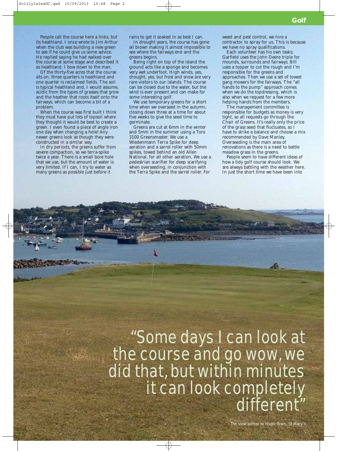**Golf**

People call the course here a links, but its heathland. I once wrote to Jim Arthur when the club was building a new green to see if he could give us some advice. He replied saying he had walked over the course at some stage and described it as heathland. I bow down to the man.

Of the thirty-five acres that the course sits on, three quarters is heathland and one quarter is reclaimed fields. The soil is typical heathland and, I would assume, acidic from the types of grasses that grow and the heather that roots itself onto the fairways, which can become a bit of a problem.

When the course was first built I think they must have put lots of topsoil where they thought it would be best to create a green. I even found a piece of angle iron one day when changing a hole! Any newer greens look as though they were constructed in a similar way.

In dry periods, the greens suffer from severe compaction, so we terra-spike twice a year. There is a small bore hole that we use, but the amount of water is very limited. If I can, I try to water as many greens as possible just before it

rains to get it soaked in as best I can.

In drought years, the course has gone all brown making it almost impossible to see where the fairways end and the greens begins.

Being right on top of the island the ground acts like a sponge and becomes very wet underfoot. High winds, yes, drought, yes, but frost and snow are very rare visitors to our islands. The course can be closed due to the water, but the wind is ever present and can make for some interesting golf.

We use temporary greens for a short time when we overseed in the autumn, closing down three at a time for about five weeks to give the seed time to germinate.

Greens are cut at 6mm in the winter and 5mm in the summer using a Toro 3100 Greensmaster. We use a Wiedenmann Terra Spike for deep aeration and a sarrel roller with 50mm spikes, towed behind an old Allen National, for all other aeration. We use a pedestrian scarifier for deep scarifying when overseeding, in conjunction with the Terra Spike and the sarrel roller. For

weed and pest control, we hire a contractor to spray for us. This is because we have no spray qualifications.

Each volunteer has his own tasks; Garfield uses the John Deere triple for mounds, surrounds and fairways. Bill uses a topper to cut the rough and I'm responsible for the greens and approaches. Then we use a set of towed gang mowers for the fairways. The "all hands to the pump" approach comes when we do the topdressing, which is also when we request for a few more helping hands from the members.

The management committee is responsible for budgets as money is very tight, so all requests go through the Chair of Greens. It's really only the price of the grass seed that fluctuates, so I have to strike a balance and choose a mix recommended by Dave Manley. Overseeding is the main area of renovations as there is a need to battle meadow grass in the greens.

People seem to have different ideas of how a tidy golf course should look. We are always battling with the weather here. In just the short time we have been into

## "Some days I can look at the course and go wow, we did that, but within minutes it can look completely different"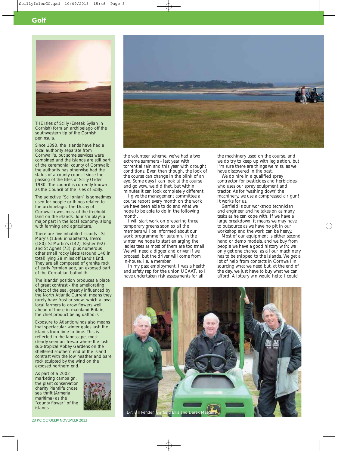

THE Isles of Scilly (Enesek Syllan in Cornish) form an archipelago off the southwestern tip of the Cornish peninsula.

Since 1890, the Islands have had a local authority separate from Cornwall's, but some services were combined and the islands are still part of the ceremonial county of Cornwall; the authority has otherwise had the status of a county council since the passing of the Isles of Scilly Order 1930. The council is currently known as the Council of the Isles of Scilly.

The adjective "Scillonian" is sometimes used for people or things related to the archipelago. The Duchy of Cornwall owns most of the freehold land on the islands. Tourism plays a major part in the local economy, along with farming and agriculture.

There are five inhabited islands - St Mary's (1,666 inhabitants), Tresco (180), St Martin's (142), Bryher (92) and St Agnes (73), plus numerous other small rocky islets (around 140 in total) lying 28 miles off Land's End. They are all composed of granite rock of early Permian age, an exposed part of the Cornubian batholith.

The islands' position produces a place of great contrast - the ameliorating effect of the sea, greatly influenced by the North Atlantic Current, means they rarely have frost or snow, which allows local farmers to grow flowers well ahead of those in mainland Britain, the chief product being daffodils.

Exposure to Atlantic winds also means that spectacular winter gales lash the islands from time to time. This is reflected in the landscape, most clearly seen on Tresco where the lush sub-tropical Abbey Gardens on the sheltered southern end of the island contrast with the low heather and bare rock sculpted by the wind on the exposed northern end.

As part of a 2002 marketing campaign, the plant conservation charity Plantlife chose sea thrift *(Armeria maritima)* as the "county flower" of the islands.





the volunteer scheme, we've had a two extreme summers - last year with torrential rain and this year with drought conditions. Even then though, the look of the course can change in the blink of an eye. Some days I can look at the course and go wow, we did that, but within minutes it can look completely different.

I give the management committee a course report every month on the work we have been able to do and what we hope to be able to do in the following month.

I will start work on preparing three temporary greens soon so all the members will be informed about our work programme for autumn. In the winter, we hope to start enlarging the ladies tees as most of them are too small. We will need a digger and driver if we proceed, but the driver will come from in-house, i.e. a member.

In my past employment, I was a health and safety rep for the union UCAAT, so I have undertaken risk assessments for all

the machinery used on the course, and we do try to keep up with legislation, but I'm sure there are things we miss, as we have discovered in the past.

We do hire in a qualified spray contractor for pesticides and herbicides, who uses our spray equipment and tractor. As for 'washing down' the machinery, we use a compressed air gun! It works for us.

Garfield is our workshop technician and engineer and he takes on as many tasks as he can cope with. If we have a large breakdown, it means we may have to outsource as we have no pit in our workshop and the work can be heavy.

Most of our equipment is either second hand or demo models, and we buy from people we have a good history with; we only get one chance, as all our machinery has to be shipped to the islands. We get a lot of help from contacts in Cornwall in sourcing what we need but, at the end of the day, we just have to buy what we can afford. A lottery win would help; I could